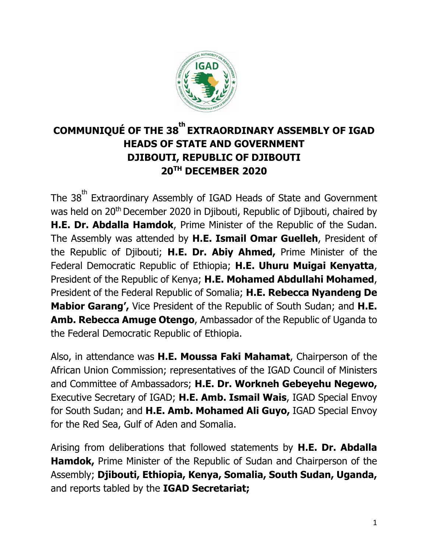

# **COMMUNIQUÉ OF THE 38 th EXTRAORDINARY ASSEMBLY OF IGAD HEADS OF STATE AND GOVERNMENT DJIBOUTI, REPUBLIC OF DJIBOUTI 20TH DECEMBER 2020**

The 38<sup>th</sup> Extraordinary Assembly of IGAD Heads of State and Government was held on 20<sup>th</sup> December 2020 in Djibouti, Republic of Djibouti, chaired by **H.E. Dr. Abdalla Hamdok**, Prime Minister of the Republic of the Sudan. The Assembly was attended by **H.E. Ismail Omar Guelleh**, President of the Republic of Djibouti; **H.E. Dr. Abiy Ahmed,** Prime Minister of the Federal Democratic Republic of Ethiopia; **H.E. Uhuru Muigai Kenyatta**, President of the Republic of Kenya; **H.E. Mohamed Abdullahi Mohamed**, President of the Federal Republic of Somalia; **H.E. Rebecca Nyandeng De Mabior Garang',** Vice President of the Republic of South Sudan; and **H.E. Amb. Rebecca Amuge Otengo**, Ambassador of the Republic of Uganda to the Federal Democratic Republic of Ethiopia.

Also, in attendance was **H.E. Moussa Faki Mahamat**, Chairperson of the African Union Commission; representatives of the IGAD Council of Ministers and Committee of Ambassadors; **H.E. Dr. Workneh Gebeyehu Negewo,**  Executive Secretary of IGAD; **H.E. Amb. Ismail Wais**, IGAD Special Envoy for South Sudan; and **H.E. Amb. Mohamed Ali Guyo,** IGAD Special Envoy for the Red Sea, Gulf of Aden and Somalia.

Arising from deliberations that followed statements by **H.E. Dr. Abdalla Hamdok,** Prime Minister of the Republic of Sudan and Chairperson of the Assembly; **Djibouti, Ethiopia, Kenya, Somalia, South Sudan, Uganda,**  and reports tabled by the **IGAD Secretariat;**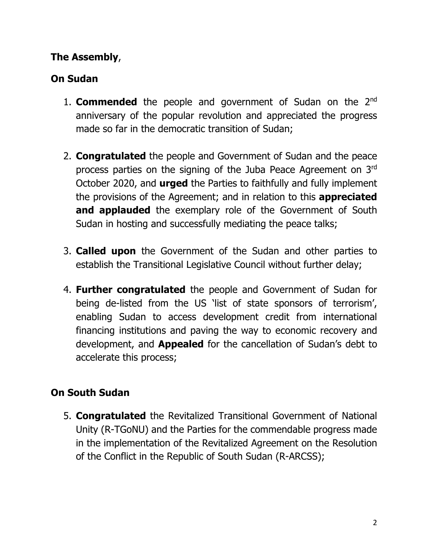# **The Assembly**,

### **On Sudan**

- 1. **Commended** the people and government of Sudan on the 2nd anniversary of the popular revolution and appreciated the progress made so far in the democratic transition of Sudan;
- 2. **Congratulated** the people and Government of Sudan and the peace process parties on the signing of the Juba Peace Agreement on 3rd October 2020, and **urged** the Parties to faithfully and fully implement the provisions of the Agreement; and in relation to this **appreciated and applauded** the exemplary role of the Government of South Sudan in hosting and successfully mediating the peace talks;
- 3. **Called upon** the Government of the Sudan and other parties to establish the Transitional Legislative Council without further delay;
- 4. **Further congratulated** the people and Government of Sudan for being de-listed from the US 'list of state sponsors of terrorism', enabling Sudan to access development credit from international financing institutions and paving the way to economic recovery and development, and **Appealed** for the cancellation of Sudan's debt to accelerate this process;

#### **On South Sudan**

5. **Congratulated** the Revitalized Transitional Government of National Unity (R-TGoNU) and the Parties for the commendable progress made in the implementation of the Revitalized Agreement on the Resolution of the Conflict in the Republic of South Sudan (R-ARCSS);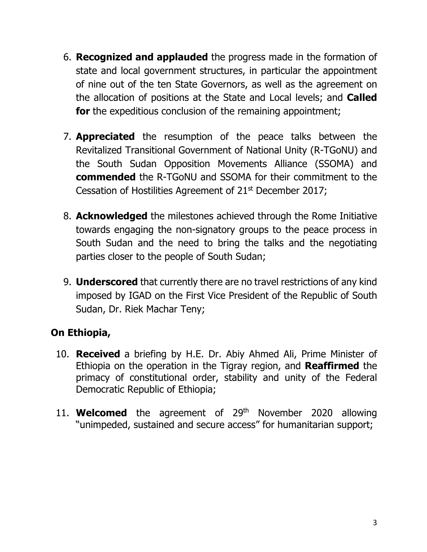- 6. **Recognized and applauded** the progress made in the formation of state and local government structures, in particular the appointment of nine out of the ten State Governors, as well as the agreement on the allocation of positions at the State and Local levels; and **Called for** the expeditious conclusion of the remaining appointment;
- 7. **Appreciated** the resumption of the peace talks between the Revitalized Transitional Government of National Unity (R-TGoNU) and the South Sudan Opposition Movements Alliance (SSOMA) and **commended** the R-TGoNU and SSOMA for their commitment to the Cessation of Hostilities Agreement of 21<sup>st</sup> December 2017;
- 8. **Acknowledged** the milestones achieved through the Rome Initiative towards engaging the non-signatory groups to the peace process in South Sudan and the need to bring the talks and the negotiating parties closer to the people of South Sudan;
- 9. **Underscored** that currently there are no travel restrictions of any kind imposed by IGAD on the First Vice President of the Republic of South Sudan, Dr. Riek Machar Teny;

# **On Ethiopia,**

- 10. **Received** a briefing by H.E. Dr. Abiy Ahmed Ali, Prime Minister of Ethiopia on the operation in the Tigray region, and **Reaffirmed** the primacy of constitutional order, stability and unity of the Federal Democratic Republic of Ethiopia;
- 11. **Welcomed** the agreement of 29<sup>th</sup> November 2020 allowing "unimpeded, sustained and secure access" for humanitarian support;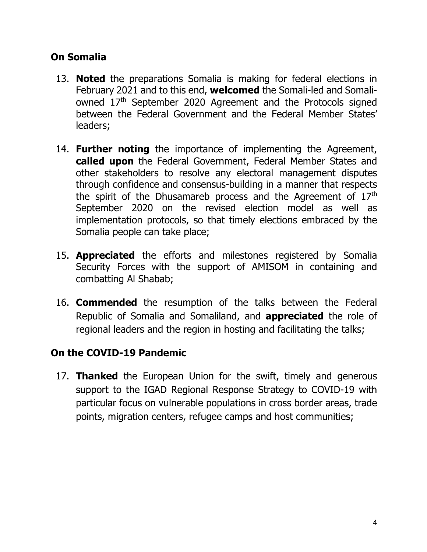# **On Somalia**

- 13. **Noted** the preparations Somalia is making for federal elections in February 2021 and to this end, **welcomed** the Somali-led and Somaliowned 17th September 2020 Agreement and the Protocols signed between the Federal Government and the Federal Member States' leaders;
- 14. **Further noting** the importance of implementing the Agreement, **called upon** the Federal Government, Federal Member States and other stakeholders to resolve any electoral management disputes through confidence and consensus-building in a manner that respects the spirit of the Dhusamareb process and the Agreement of 17<sup>th</sup> September 2020 on the revised election model as well as implementation protocols, so that timely elections embraced by the Somalia people can take place;
- 15. **Appreciated** the efforts and milestones registered by Somalia Security Forces with the support of AMISOM in containing and combatting Al Shabab;
- 16. **Commended** the resumption of the talks between the Federal Republic of Somalia and Somaliland, and **appreciated** the role of regional leaders and the region in hosting and facilitating the talks;

#### **On the COVID-19 Pandemic**

17. **Thanked** the European Union for the swift, timely and generous support to the IGAD Regional Response Strategy to COVID-19 with particular focus on vulnerable populations in cross border areas, trade points, migration centers, refugee camps and host communities;